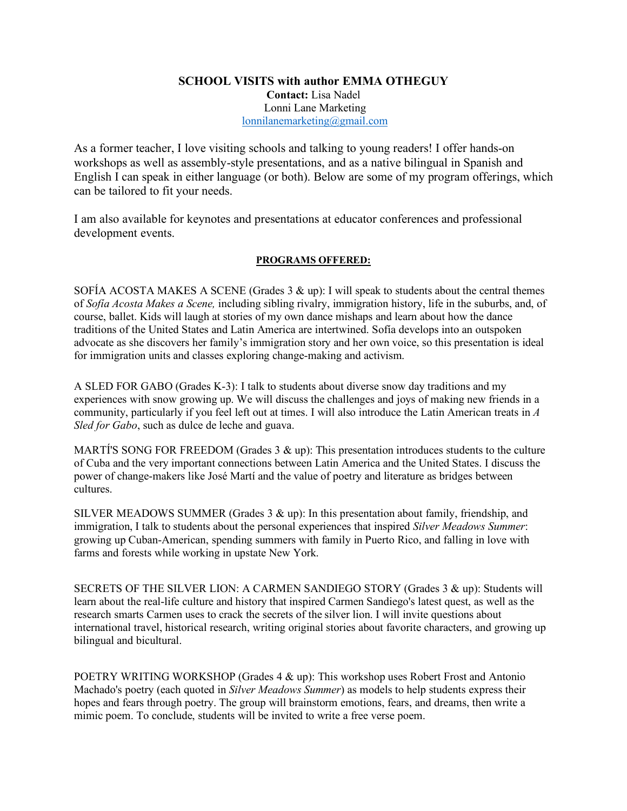## **SCHOOL VISITS with author EMMA OTHEGUY Contact:** Lisa Nadel Lonni Lane Marketing lonnilanemarketing@gmail.com

As a former teacher, I love visiting schools and talking to young readers! I offer hands-on workshops as well as assembly-style presentations, and as a native bilingual in Spanish and English I can speak in either language (or both). Below are some of my program offerings, which can be tailored to fit your needs.

I am also available for keynotes and presentations at educator conferences and professional development events.

## **PROGRAMS OFFERED:**

SOFÍA ACOSTA MAKES A SCENE (Grades  $3 \& \text{up}$ ): I will speak to students about the central themes of *Sofía Acosta Makes a Scene,* including sibling rivalry, immigration history, life in the suburbs, and, of course, ballet. Kids will laugh at stories of my own dance mishaps and learn about how the dance traditions of the United States and Latin America are intertwined. Sofía develops into an outspoken advocate as she discovers her family's immigration story and her own voice, so this presentation is ideal for immigration units and classes exploring change-making and activism.

A SLED FOR GABO (Grades K-3): I talk to students about diverse snow day traditions and my experiences with snow growing up. We will discuss the challenges and joys of making new friends in a community, particularly if you feel left out at times. I will also introduce the Latin American treats in *A Sled for Gabo*, such as dulce de leche and guava.

MARTÍ'S SONG FOR FREEDOM (Grades  $3 \& \text{up}$ ): This presentation introduces students to the culture of Cuba and the very important connections between Latin America and the United States. I discuss the power of change-makers like José Martí and the value of poetry and literature as bridges between cultures.

SILVER MEADOWS SUMMER (Grades  $3 \& \text{up}$ ): In this presentation about family, friendship, and immigration, I talk to students about the personal experiences that inspired *Silver Meadows Summer*: growing up Cuban-American, spending summers with family in Puerto Rico, and falling in love with farms and forests while working in upstate New York.

SECRETS OF THE SILVER LION: A CARMEN SANDIEGO STORY (Grades 3 & up): Students will learn about the real-life culture and history that inspired Carmen Sandiego's latest quest, as well as the research smarts Carmen uses to crack the secrets of the silver lion. I will invite questions about international travel, historical research, writing original stories about favorite characters, and growing up bilingual and bicultural.

POETRY WRITING WORKSHOP (Grades 4 & up): This workshop uses Robert Frost and Antonio Machado's poetry (each quoted in *Silver Meadows Summer*) as models to help students express their hopes and fears through poetry. The group will brainstorm emotions, fears, and dreams, then write a mimic poem. To conclude, students will be invited to write a free verse poem.